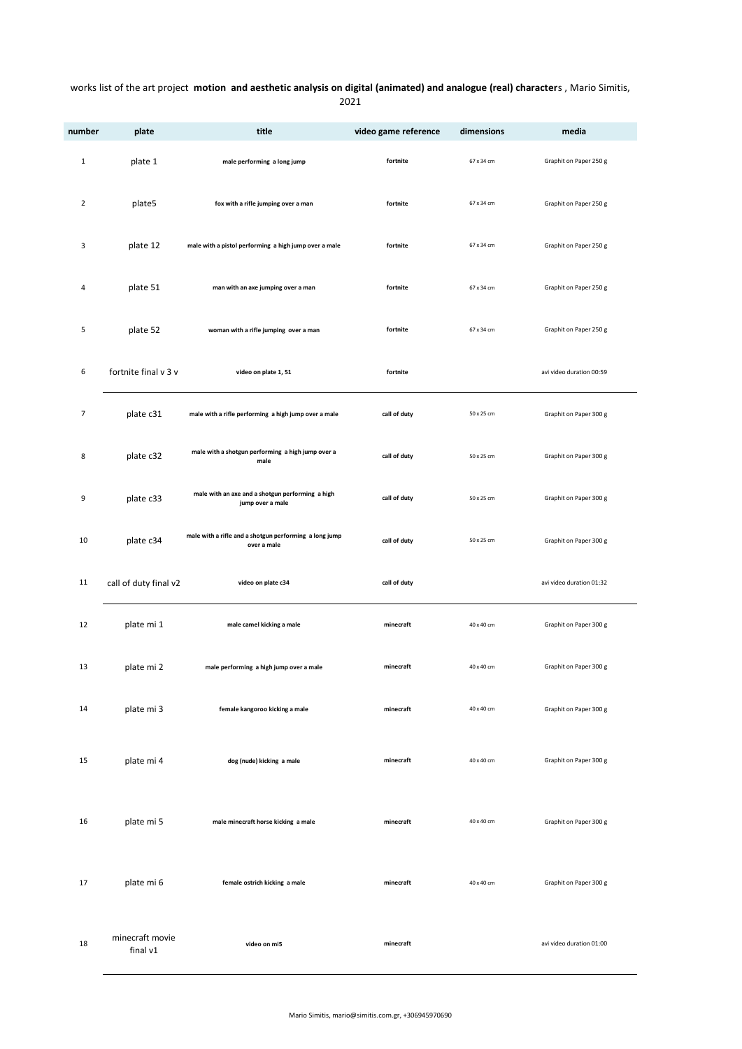## works list of the art project **motion and aesthetic analysis on digital (animated) and analogue (real) character**s , Mario Simitis,

| video gan |
|-----------|
|           |

| number         | plate                       | title                                                                 | video game reference | dimensions | media                    |
|----------------|-----------------------------|-----------------------------------------------------------------------|----------------------|------------|--------------------------|
| $\mathbf{1}$   | plate 1                     | male performing a long jump                                           | fortnite             | 67 x 34 cm | Graphit on Paper 250 g   |
| $\overline{2}$ | plate5                      | fox with a rifle jumping over a man                                   | fortnite             | 67 x 34 cm | Graphit on Paper 250 g   |
| 3              | plate 12                    | male with a pistol performing a high jump over a male                 | fortnite             | 67 x 34 cm | Graphit on Paper 250 g   |
| 4              | plate 51                    | man with an axe jumping over a man                                    | fortnite             | 67 x 34 cm | Graphit on Paper 250 g   |
| 5              | plate 52                    | woman with a rifle jumping over a man                                 | fortnite             | 67 x 34 cm | Graphit on Paper 250 g   |
| 6              | fortnite final v 3 v        | video on plate 1, 51                                                  | fortnite             |            | avi video duration 00:59 |
| $\overline{7}$ | plate c31                   | male with a rifle performing a high jump over a male                  | call of duty         | 50 x 25 cm | Graphit on Paper 300 g   |
| 8              | plate c32                   | male with a shotgun performing a high jump over a<br>male             | call of duty         | 50 x 25 cm | Graphit on Paper 300 g   |
| 9              | plate c33                   | male with an axe and a shotgun performing a high<br>jump over a male  | call of duty         | 50 x 25 cm | Graphit on Paper 300 g   |
| 10             | plate c34                   | male with a rifle and a shotgun performing a long jump<br>over a male | call of duty         | 50 x 25 cm | Graphit on Paper 300 g   |
| 11             | call of duty final v2       | video on plate c34                                                    | call of duty         |            | avi video duration 01:32 |
| 12             | plate mi 1                  | male camel kicking a male                                             | minecraft            | 40 x 40 cm | Graphit on Paper 300 g   |
| 13             | plate mi 2                  | male performing a high jump over a male                               | minecraft            | 40 x 40 cm | Graphit on Paper 300 g   |
| 14             | plate mi 3                  | female kangoroo kicking a male                                        | minecraft            | 40 x 40 cm | Graphit on Paper 300 g   |
| 15             | plate mi 4                  | dog (nude) kicking a male                                             | minecraft            | 40 x 40 cm | Graphit on Paper 300 g   |
| 16             | plate mi 5                  | male minecraft horse kicking a male                                   | minecraft            | 40 x 40 cm | Graphit on Paper 300 g   |
| 17             | plate mi 6                  | female ostrich kicking a male                                         | minecraft            | 40 x 40 cm | Graphit on Paper 300 g   |
| 18             | minecraft movie<br>final v1 | video on mi5                                                          | minecraft            |            | avi video duration 01:00 |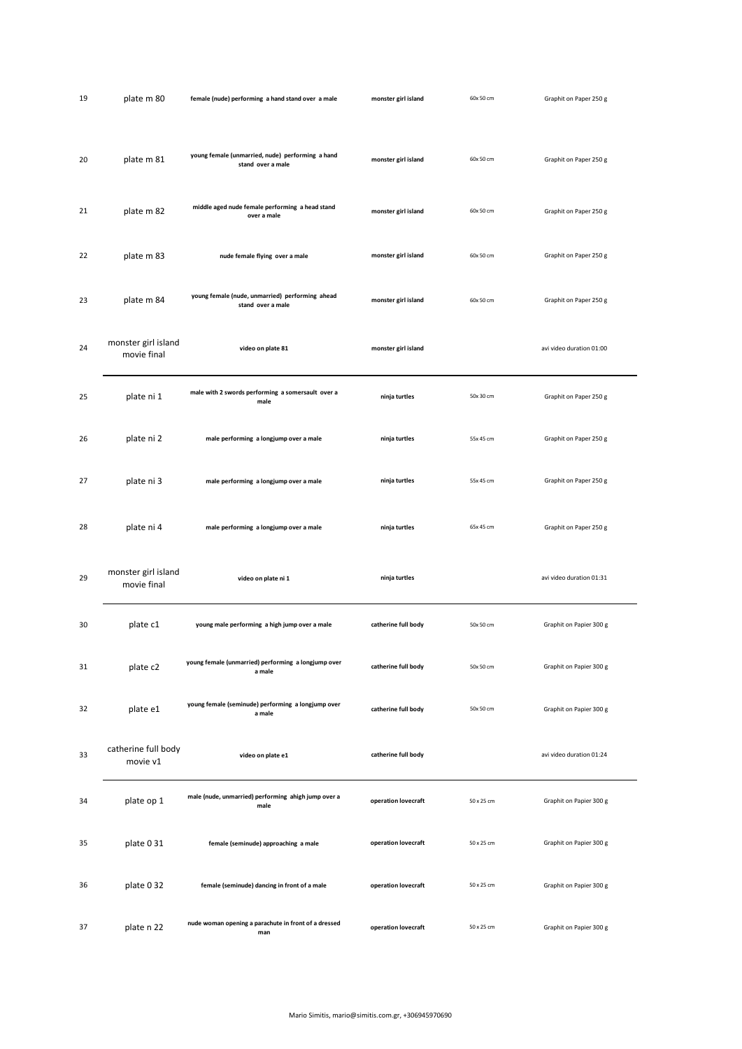| 19 | plate m 80                         | female (nude) performing a hand stand over a male                     | monster girl island | 60x 50 cm  | Graphit on Paper 250 g   |  |
|----|------------------------------------|-----------------------------------------------------------------------|---------------------|------------|--------------------------|--|
| 20 | plate m 81                         | young female (unmarried, nude) performing a hand<br>stand over a male | monster girl island | 60x 50 cm  | Graphit on Paper 250 g   |  |
| 21 | plate m 82                         | middle aged nude female performing a head stand<br>over a male        | monster girl island | 60x 50 cm  | Graphit on Paper 250 g   |  |
| 22 | plate m 83                         | nude female flying over a male                                        | monster girl island | 60x 50 cm  | Graphit on Paper 250 g   |  |
| 23 | plate m 84                         | young female (nude, unmarried) performing ahead<br>stand over a male  | monster girl island | 60x 50 cm  | Graphit on Paper 250 g   |  |
| 24 | monster girl island<br>movie final | video on plate 81                                                     | monster girl island |            | avi video duration 01:00 |  |
| 25 | plate ni 1                         | male with 2 swords performing a somersault over a<br>male             | ninja turtles       | 50x 30 cm  | Graphit on Paper 250 g   |  |
| 26 | plate ni 2                         | male performing a longjump over a male                                | ninja turtles       | 55x 45 cm  | Graphit on Paper 250 g   |  |
| 27 | plate ni 3                         | male performing a longjump over a male                                | ninja turtles       | 55x 45 cm  | Graphit on Paper 250 g   |  |
| 28 | plate ni 4                         | male performing a longjump over a male                                | ninja turtles       | 65x 45 cm  | Graphit on Paper 250 g   |  |
| 29 | monster girl island<br>movie final | video on plate ni 1                                                   | ninja turtles       |            | avi video duration 01:31 |  |
| 30 | plate c1                           | young male performing a high jump over a male                         | catherine full body | 50x 50 cm  | Graphit on Papier 300 g  |  |
| 31 | plate c2                           | young female (unmarried) performing a longjump over<br>a male         | catherine full body | 50x 50 cm  | Graphit on Papier 300 g  |  |
| 32 | plate e1                           | young female (seminude) performing a longjump over<br>a male          | catherine full body | 50x 50 cm  | Graphit on Papier 300 g  |  |
| 33 | catherine full body<br>movie v1    | video on plate e1                                                     | catherine full body |            | avi video duration 01:24 |  |
| 34 | plate op 1                         | male (nude, unmarried) performing ahigh jump over a<br>male           | operation lovecraft | 50 x 25 cm | Graphit on Papier 300 g  |  |
| 35 | plate 0 31                         | female (seminude) approaching a male                                  | operation lovecraft | 50 x 25 cm | Graphit on Papier 300 g  |  |
| 36 | plate 0 32                         | female (seminude) dancing in front of a male                          | operation lovecraft | 50 x 25 cm | Graphit on Papier 300 g  |  |
| 37 | plate n 22                         | nude woman opening a parachute in front of a dressed<br>man           | operation lovecraft | 50 x 25 cm | Graphit on Papier 300 g  |  |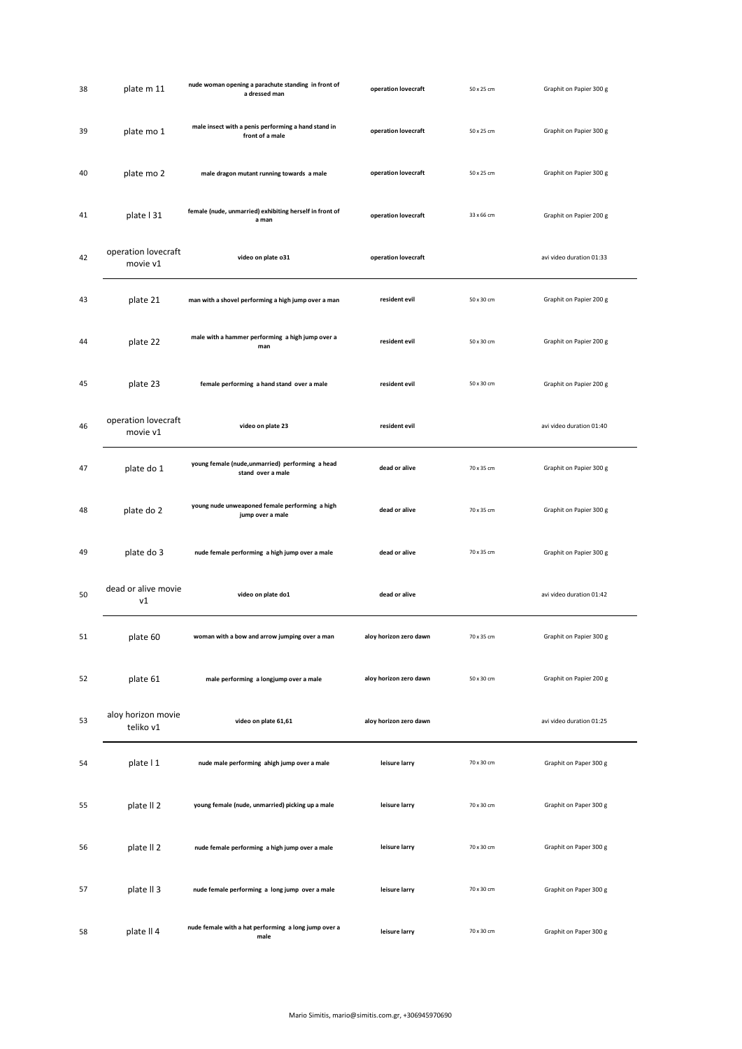| 38 | plate m 11                      | nude woman opening a parachute standing in front of<br>a dressed man   | operation lovecraft    | 50 x 25 cm | Graphit on Papier 300 g  |
|----|---------------------------------|------------------------------------------------------------------------|------------------------|------------|--------------------------|
| 39 | plate mo 1                      | male insect with a penis performing a hand stand in<br>front of a male | operation lovecraft    | 50 x 25 cm | Graphit on Papier 300 g  |
| 40 | plate mo 2                      | male dragon mutant running towards a male                              | operation lovecraft    | 50 x 25 cm | Graphit on Papier 300 g  |
| 41 | plate   31                      | female (nude, unmarried) exhibiting herself in front of<br>a man       | operation lovecraft    | 33 x 66 cm | Graphit on Papier 200 g  |
| 42 | operation lovecraft<br>movie v1 | video on plate o31                                                     | operation lovecraft    |            | avi video duration 01:33 |
| 43 | plate 21                        | man with a shovel performing a high jump over a man                    | resident evil          | 50 x 30 cm | Graphit on Papier 200 g  |
| 44 | plate 22                        | male with a hammer performing a high jump over a<br>man                | resident evil          | 50 x 30 cm | Graphit on Papier 200 g  |
| 45 | plate 23                        | female performing a hand stand over a male                             | resident evil          | 50 x 30 cm | Graphit on Papier 200 g  |
| 46 | operation lovecraft<br>movie v1 | video on plate 23                                                      | resident evil          |            | avi video duration 01:40 |
| 47 | plate do 1                      | young female (nude, unmarried) performing a head<br>stand over a male  | dead or alive          | 70 x 35 cm | Graphit on Papier 300 g  |
| 48 | plate do 2                      | young nude unweaponed female performing a high<br>jump over a male     | dead or alive          | 70 x 35 cm | Graphit on Papier 300 g  |
| 49 | plate do 3                      | nude female performing a high jump over a male                         | dead or alive          | 70 x 35 cm | Graphit on Papier 300 g  |
| 50 | dead or alive movie<br>ν1       | video on plate do1                                                     | dead or alive          |            | avi video duration 01:42 |
| 51 | plate 60                        | woman with a bow and arrow jumping over a man                          | aloy horizon zero dawn | /0 x 35 cm | Graphit on Papier 300 g  |
| 52 | plate 61                        | male performing a longjump over a male                                 | aloy horizon zero dawn | 50 x 30 cm | Graphit on Papier 200 g  |
| 53 | aloy horizon movie<br>teliko v1 | video on plate 61,61                                                   | aloy horizon zero dawn |            | avi video duration 01:25 |
| 54 | plate   1                       | nude male performing ahigh jump over a male                            | leisure larry          | 70 x 30 cm | Graphit on Paper 300 g   |
| 55 | plate II <sub>2</sub>           | young female (nude, unmarried) picking up a male                       | leisure larry          | 70 x 30 cm | Graphit on Paper 300 g   |
| 56 | plate II <sub>2</sub>           | nude female performing a high jump over a male                         | leisure larry          | 70 x 30 cm | Graphit on Paper 300 g   |
| 57 | plate II 3                      | nude female performing a long jump over a male                         | leisure larry          | 70 x 30 cm | Graphit on Paper 300 g   |
| 58 | plate II 4                      | nude female with a hat performing a long jump over a<br>male           | leisure larry          | 70 x 30 cm | Graphit on Paper 300 g   |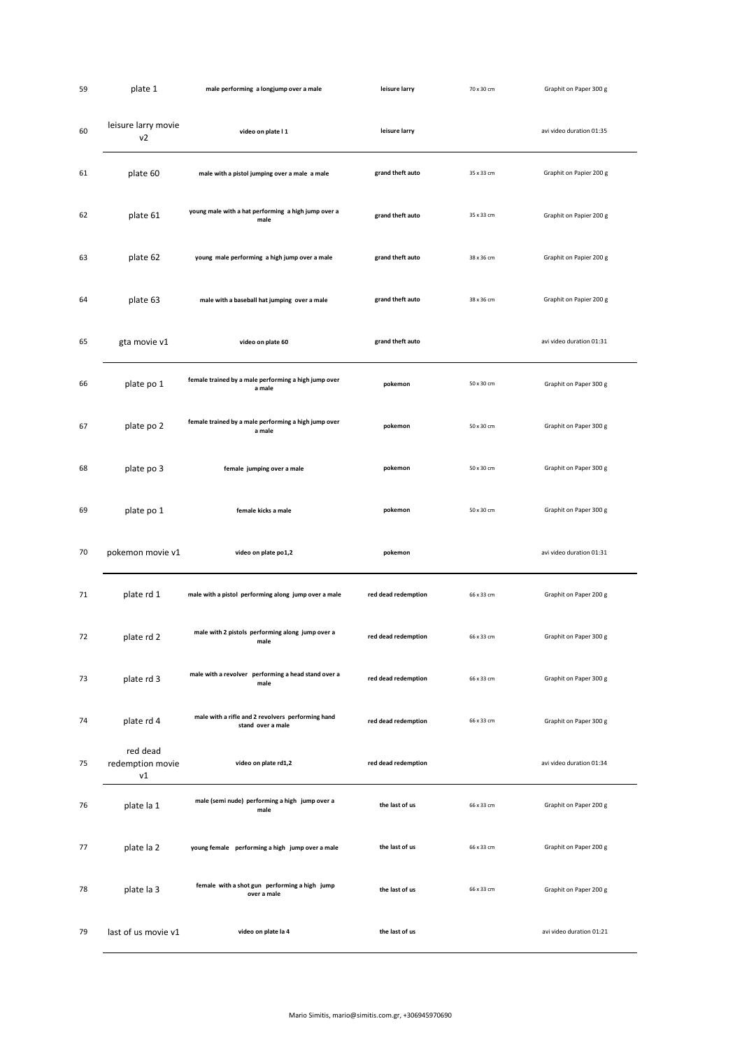| 59 | plate 1                               | male performing a longjump over a male                                 | leisure larry       | 70 x 30 cm | Graphit on Paper 300 g   |
|----|---------------------------------------|------------------------------------------------------------------------|---------------------|------------|--------------------------|
| 60 | leisure larry movie<br>v <sub>2</sub> | video on plate I 1                                                     | leisure larry       |            | avi video duration 01:35 |
| 61 | plate 60                              | male with a pistol jumping over a male a male                          | grand theft auto    | 35 x 33 cm | Graphit on Papier 200 g  |
| 62 | plate 61                              | young male with a hat performing a high jump over a<br>male            | grand theft auto    | 35 x 33 cm | Graphit on Papier 200 g  |
| 63 | plate 62                              | young male performing a high jump over a male                          | grand theft auto    | 38 x 36 cm | Graphit on Papier 200 g  |
| 64 | plate 63                              | male with a baseball hat jumping over a male                           | grand theft auto    | 38 x 36 cm | Graphit on Papier 200 g  |
| 65 | gta movie v1                          | video on plate 60                                                      | grand theft auto    |            | avi video duration 01:31 |
| 66 | plate po 1                            | female trained by a male performing a high jump over<br>a male         | pokemon             | 50 x 30 cm | Graphit on Paper 300 g   |
| 67 | plate po 2                            | female trained by a male performing a high jump over<br>a male         | pokemon             | 50 x 30 cm | Graphit on Paper 300 g   |
| 68 | plate po 3                            | female jumping over a male                                             | pokemon             | 50 x 30 cm | Graphit on Paper 300 g   |
| 69 | plate po 1                            | female kicks a male                                                    | pokemon             | 50 x 30 cm | Graphit on Paper 300 g   |
| 70 | pokemon movie v1                      | video on plate po1,2                                                   | pokemon             |            | avi video duration 01:31 |
| 71 | plate rd 1                            | male with a pistol performing along jump over a male                   | red dead redemption | 66 x 33 cm | Graphit on Paper 200 g   |
| 72 | plate rd 2                            | male with 2 pistols performing along jump over a<br>male               | red dead redemption | 66 x 33 cm | Graphit on Paper 300 g   |
| 73 | plate rd 3                            | male with a revolver performing a head stand over a<br>male            | red dead redemption | 66 x 33 cm | Graphit on Paper 300 g   |
| 74 | plate rd 4                            | male with a rifle and 2 revolvers performing hand<br>stand over a male | red dead redemption | 66 x 33 cm | Graphit on Paper 300 g   |
| 75 | red dead<br>redemption movie<br>v1    | video on plate rd1,2                                                   | red dead redemption |            | avi video duration 01:34 |
| 76 | plate la 1                            | male (semi nude) performing a high jump over a<br>male                 | the last of us      | 66 x 33 cm | Graphit on Paper 200 g   |
| 77 | plate la 2                            | young female performing a high jump over a male                        | the last of us      | 66 x 33 cm | Graphit on Paper 200 g   |
| 78 | plate la 3                            | female with a shot gun performing a high jump<br>over a male           | the last of us      | 66 x 33 cm | Graphit on Paper 200 g   |
| 79 | last of us movie v1                   | video on plate la 4                                                    | the last of us      |            | avi video duration 01:21 |